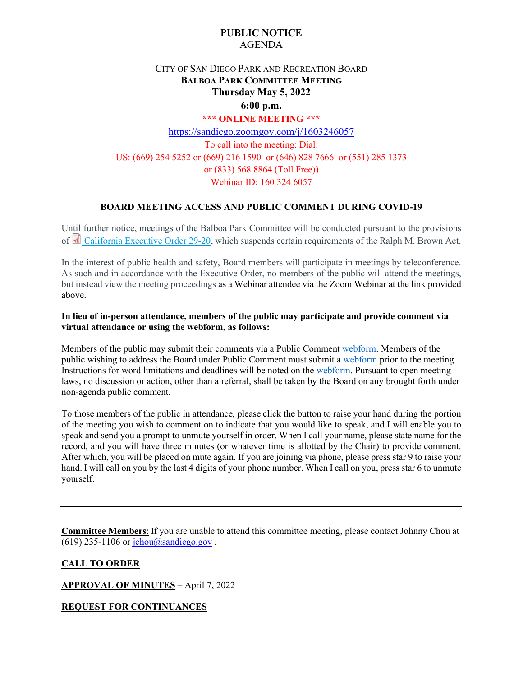## **PUBLIC NOTICE** AGENDA

# CITY OF SAN DIEGO PARK AND RECREATION BOARD **BALBOA PARK COMMITTEE MEETING Thursday May 5, 2022**

### **6:00 p.m. \*\*\* ONLINE MEETING \*\*\***

## <https://sandiego.zoomgov.com/j/1603246057> To call into the meeting: Dial: US: (669) 254 5252 or (669) 216 1590 or (646) 828 7666 or (551) 285 1373 or (833) 568 8864 (Toll Free)) Webinar ID: 160 324 6057

## **BOARD MEETING ACCESS AND PUBLIC COMMENT DURING COVID-19**

Until further notice, meetings of the Balboa Park Committee will be conducted pursuant to the provisions of [California Executive Order 29-20,](http://www.gov.ca.gov/wp-content/uploads/2020/03/3.17.20-N-29-20-EO.pdf) which suspends certain requirements of the Ralph M. Brown Act.

In the interest of public health and safety, Board members will participate in meetings by teleconference. As such and in accordance with the Executive Order, no members of the public will attend the meetings, but instead view the meeting proceedings as a Webinar attendee via the Zoom Webinar at the link provided above.

### **In lieu of in-person attendance, members of the public may participate and provide comment via virtual attendance or using the webform, as follows:**

Members of the public may submit their comments via a Public Commen[t webform.](https://www.sandiego.gov/boards-and-commissions/public-comment) Members of the public wishing to address the Board under Public Comment must submit a [webform](https://www.sandiego.gov/boards-and-commissions/public-comment) prior to the meeting. Instructions for word limitations and deadlines will be noted on the [webform.](https://www.sandiego.gov/boards-and-commissions/public-comment) Pursuant to open meeting laws, no discussion or action, other than a referral, shall be taken by the Board on any brought forth under non-agenda public comment.

To those members of the public in attendance, please click the button to raise your hand during the portion of the meeting you wish to comment on to indicate that you would like to speak, and I will enable you to speak and send you a prompt to unmute yourself in order. When I call your name, please state name for the record, and you will have three minutes (or whatever time is allotted by the Chair) to provide comment. After which, you will be placed on mute again. If you are joining via phone, please press star 9 to raise your hand. I will call on you by the last 4 digits of your phone number. When I call on you, press star 6 to unmute yourself.

**Committee Members**: If you are unable to attend this committee meeting, please contact Johnny Chou at (619) 235-1106 or  $i$ chou@sandiego.gov.

**CALL TO ORDER** 

**APPROVAL OF MINUTES** – April 7, 2022

**REQUEST FOR CONTINUANCES**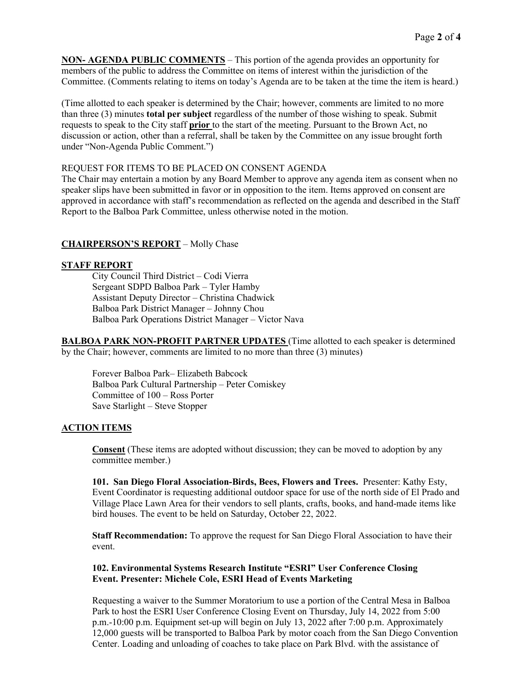**NON- AGENDA PUBLIC COMMENTS** – This portion of the agenda provides an opportunity for members of the public to address the Committee on items of interest within the jurisdiction of the Committee. (Comments relating to items on today's Agenda are to be taken at the time the item is heard.)

(Time allotted to each speaker is determined by the Chair; however, comments are limited to no more than three (3) minutes **total per subject** regardless of the number of those wishing to speak. Submit requests to speak to the City staff **prior** to the start of the meeting. Pursuant to the Brown Act, no discussion or action, other than a referral, shall be taken by the Committee on any issue brought forth under "Non-Agenda Public Comment.")

#### REQUEST FOR ITEMS TO BE PLACED ON CONSENT AGENDA

The Chair may entertain a motion by any Board Member to approve any agenda item as consent when no speaker slips have been submitted in favor or in opposition to the item. Items approved on consent are approved in accordance with staff's recommendation as reflected on the agenda and described in the Staff Report to the Balboa Park Committee, unless otherwise noted in the motion.

## **CHAIRPERSON'S REPORT** – Molly Chase

#### **STAFF REPORT**

City Council Third District – Codi Vierra Sergeant SDPD Balboa Park – Tyler Hamby Assistant Deputy Director – Christina Chadwick Balboa Park District Manager – Johnny Chou Balboa Park Operations District Manager – Victor Nava

**BALBOA PARK NON-PROFIT PARTNER UPDATES** (Time allotted to each speaker is determined by the Chair; however, comments are limited to no more than three (3) minutes)

 Forever Balboa Park– Elizabeth Babcock Balboa Park Cultural Partnership – Peter Comiskey Committee of 100 – Ross Porter Save Starlight – Steve Stopper

## **ACTION ITEMS**

**Consent** (These items are adopted without discussion; they can be moved to adoption by any committee member.)

**101. San Diego Floral Association-Birds, Bees, Flowers and Trees.** Presenter: Kathy Esty, Event Coordinator is requesting additional outdoor space for use of the north side of El Prado and Village Place Lawn Area for their vendors to sell plants, crafts, books, and hand-made items like bird houses. The event to be held on Saturday, October 22, 2022.

**Staff Recommendation:** To approve the request for San Diego Floral Association to have their event.

### **102. Environmental Systems Research Institute "ESRI" User Conference Closing Event. Presenter: Michele Cole, ESRI Head of Events Marketing**

Requesting a waiver to the Summer Moratorium to use a portion of the Central Mesa in Balboa Park to host the ESRI User Conference Closing Event on Thursday, July 14, 2022 from 5:00 p.m.-10:00 p.m. Equipment set-up will begin on July 13, 2022 after 7:00 p.m. Approximately 12,000 guests will be transported to Balboa Park by motor coach from the San Diego Convention Center. Loading and unloading of coaches to take place on Park Blvd. with the assistance of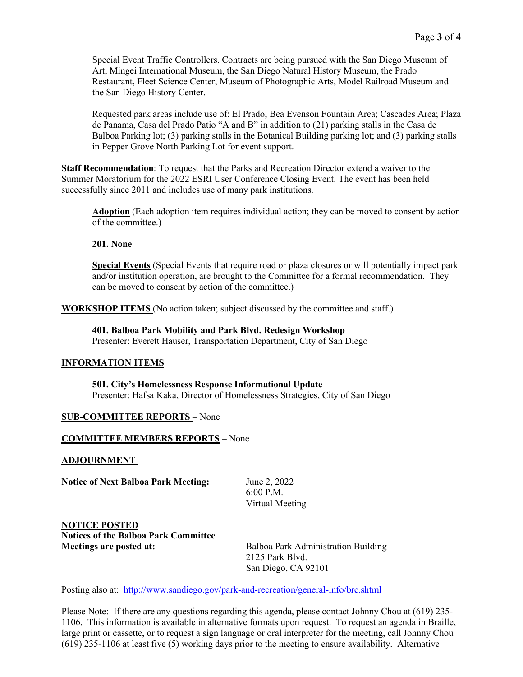Special Event Traffic Controllers. Contracts are being pursued with the San Diego Museum of Art, Mingei International Museum, the San Diego Natural History Museum, the Prado Restaurant, Fleet Science Center, Museum of Photographic Arts, Model Railroad Museum and the San Diego History Center.

Requested park areas include use of: El Prado; Bea Evenson Fountain Area; Cascades Area; Plaza de Panama, Casa del Prado Patio "A and B" in addition to (21) parking stalls in the Casa de Balboa Parking lot; (3) parking stalls in the Botanical Building parking lot; and (3) parking stalls in Pepper Grove North Parking Lot for event support.

**Staff Recommendation**: To request that the Parks and Recreation Director extend a waiver to the Summer Moratorium for the 2022 ESRI User Conference Closing Event. The event has been held successfully since 2011 and includes use of many park institutions.

**Adoption** (Each adoption item requires individual action; they can be moved to consent by action of the committee.)

**201. None**

**Special Events** (Special Events that require road or plaza closures or will potentially impact park and/or institution operation, are brought to the Committee for a formal recommendation. They can be moved to consent by action of the committee.)

**WORKSHOP ITEMS** (No action taken; subject discussed by the committee and staff.)

**401. Balboa Park Mobility and Park Blvd. Redesign Workshop**  Presenter: Everett Hauser, Transportation Department, City of San Diego

#### **INFORMATION ITEMS**

**501. City's Homelessness Response Informational Update**  Presenter: Hafsa Kaka, Director of Homelessness Strategies, City of San Diego

#### **SUB-COMMITTEE REPORTS –** None

#### **COMMITTEE MEMBERS REPORTS –** None

#### **ADJOURNMENT**

**Notice of Next Balboa Park Meeting:** June 2, 2022

 6:00 P.M. Virtual Meeting

**NOTICE POSTED Notices of the Balboa Park Committee Meetings are posted at: Balboa Park Administration Building** 

 2125 Park Blvd. San Diego, CA 92101

Posting also at:<http://www.sandiego.gov/park-and-recreation/general-info/brc.shtml>

Please Note: If there are any questions regarding this agenda, please contact Johnny Chou at (619) 235- 1106. This information is available in alternative formats upon request. To request an agenda in Braille, large print or cassette, or to request a sign language or oral interpreter for the meeting, call Johnny Chou (619) 235-1106 at least five (5) working days prior to the meeting to ensure availability. Alternative